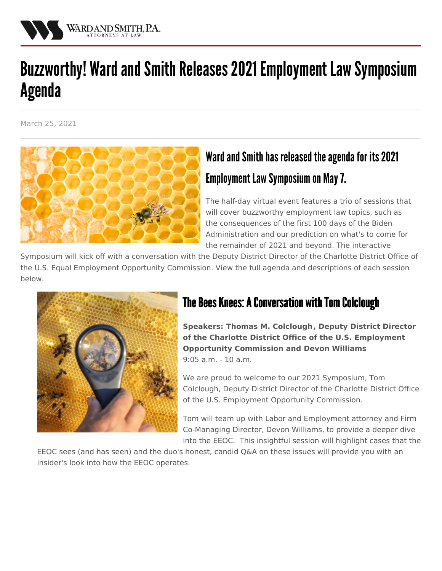

# Buzzworthy! Ward and Smith Releases 2021 Employment Law Symposium Agenda

March 25, 2021



# Ward and Smith has released the agenda for its 2021 Employment Law Symposium on May 7.

The half-day virtual event features a trio of sessions that will cover buzzworthy employment law topics, such as the consequences of the first 100 days of the Biden Administration and our prediction on what's to come for the remainder of 2021 and beyond. The interactive

Symposium will kick off with a conversation with the Deputy District Director of the Charlotte District Office of the U.S. Equal Employment Opportunity Commission. View the full agenda and descriptions of each session below.



## The Bees Knees: A Conversation with Tom Colclough

**Speakers: Thomas M. [Colclough](/events/2020-employment-law-symposium/speakers#tom), Deputy District Director of the Charlotte District Office of the U.S. Employment Opportunity Commission and Devon [Williams](/attorneys/devon-williams)** 9:05 a.m. - 10 a.m.

We are proud to welcome to our 2021 Symposium, Tom Colclough, Deputy District Director of the Charlotte District Office of the U.S. Employment Opportunity Commission.

Tom will team up with Labor and Employment attorney and Firm Co-Managing Director, Devon Williams, to provide a deeper dive into the EEOC. This insightful session will highlight cases that the

EEOC sees (and has seen) and the duo's honest, candid Q&A on these issues will provide you with an insider's look into how the EEOC operates.